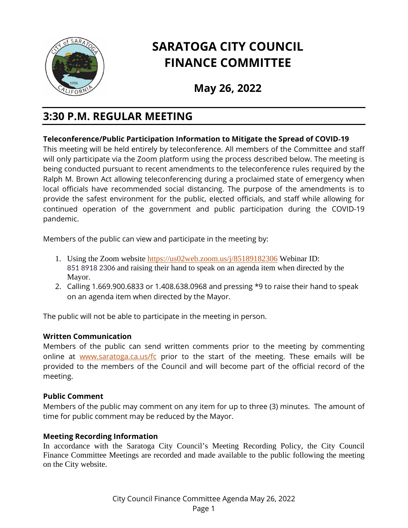

# **SARATOGA CITY COUNCIL FINANCE COMMITTEE**

**May 26, 2022**

## **3:30 P.M. REGULAR MEETING**

### **Teleconference/Public Participation Information to Mitigate the Spread of COVID**-**19**

This meeting will be held entirely by teleconference. All members of the Committee and staff will only participate via the Zoom platform using the process described below. The meeting is being conducted pursuant to recent amendments to the teleconference rules required by the Ralph M. Brown Act allowing teleconferencing during a proclaimed state of emergency when local officials have recommended social distancing. The purpose of the amendments is to provide the safest environment for the public, elected officials, and staff while allowing for continued operation of the government and public participation during the COVID-19 pandemic.

Members of the public can view and participate in the meeting by:

- 1. Using the Zoom website <https://us02web.zoom.us/j/85189182306> Webinar ID: 851 8918 2306 and raising their hand to speak on an agenda item when directed by the Mayor.
- 2. Calling 1.669.900.6833 or 1.408.638.0968 and pressing \*9 to raise their hand to speak on an agenda item when directed by the Mayor.

The public will not be able to participate in the meeting in person.

#### **Written Communication**

Members of the public can send written comments prior to the meeting by commenting online at [www.saratoga.ca.us/fc](http://www.saratoga.ca.us/fc) prior to the start of the meeting. These emails will be provided to the members of the Council and will become part of the official record of the meeting.

#### **Public Comment**

Members of the public may comment on any item for up to three (3) minutes. The amount of time for public comment may be reduced by the Mayor.

#### **Meeting Recording Information**

In accordance with the Saratoga City Council's Meeting Recording Policy, the City Council Finance Committee Meetings are recorded and made available to the public following the meeting on the City website.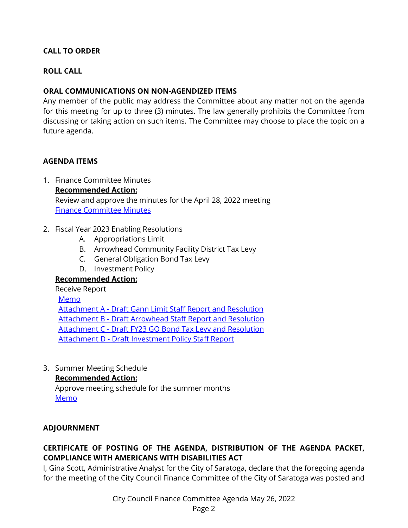#### **CALL TO ORDER**

#### **ROLL CALL**

#### **ORAL COMMUNICATIONS ON NON-AGENDIZED ITEMS**

Any member of the public may address the Committee about any matter not on the agenda for this meeting for up to three (3) minutes. The law generally prohibits the Committee from discussing or taking action on such items. The Committee may choose to place the topic on a future agenda.

#### **AGENDA ITEMS**

- 1. Finance Committee Minutes **Recommended Action:** Review and approve the minutes for the April 28, 2022 meeting [Finance Committee Minutes](https://legistarweb-production.s3.amazonaws.com/uploads/attachment/pdf/1392246/01._Finance_Committee_Minutes_04.28.2022.pdf)
- 2. Fiscal Year 2023 Enabling Resolutions
	- A. Appropriations Limit
	- B. Arrowhead Community Facility District Tax Levy
	- C. General Obligation Bond Tax Levy
	- D. Investment Policy

#### **Recommended Action:**

#### Receive Report

[Memo](https://legistarweb-production.s3.amazonaws.com/uploads/attachment/pdf/1392310/01._Memo_-_FY23_Enabling_Resolutions_memo_only.pdf) Attachment A - [Draft Gann Limit Staff Report and Resolution](https://legistarweb-production.s3.amazonaws.com/uploads/attachment/pdf/1392104/02._Attach_A_-_Draft_Gann_Limit_staff_report-combined.pdf) Attachment B - [Draft Arrowhead Staff Report and Resolution](https://legistarweb-production.s3.amazonaws.com/uploads/attachment/pdf/1392105/03._Attach_B_-_Draft_Arrowhead_Staff_Report.pdf) Attachment C - [Draft FY23 GO Bond Tax Levy and Resolution](https://legistarweb-production.s3.amazonaws.com/uploads/attachment/pdf/1392106/04._Attach_C-_Draft_FY23_GO_Bond_Tax_Levy.pdf) Attachment D - [Draft Investment Policy Staff Report](https://legistarweb-production.s3.amazonaws.com/uploads/attachment/pdf/1392107/05._Attach_D_-_Draft_Investment_Policy_staff_report-combined__1_.pdf)

3. Summer Meeting Schedule

#### **Recommended Action:**

Approve meeting schedule for the summer months [Memo](https://legistarweb-production.s3.amazonaws.com/uploads/attachment/pdf/1392109/03._FC_Agenda_Item_-_Summer_Meeting_Schedule.pdf)

#### **ADJOURNMENT**

### **CERTIFICATE OF POSTING OF THE AGENDA, DISTRIBUTION OF THE AGENDA PACKET, COMPLIANCE WITH AMERICANS WITH DISABILITIES ACT**

I, Gina Scott, Administrative Analyst for the City of Saratoga, declare that the foregoing agenda for the meeting of the City Council Finance Committee of the City of Saratoga was posted and